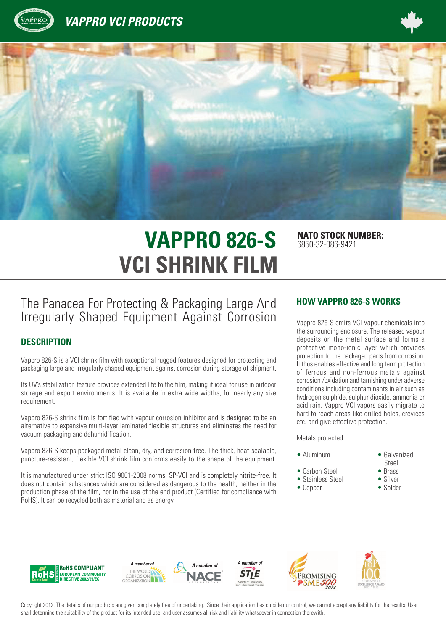





# **VAPPRO 826-S** NATO STOCK NUMBER: **VCI SHRINK FILM**

6850-32-086-9421

# The Panacea For Protecting & Packaging Large And Irregularly Shaped Equipment Against Corrosion

#### **DESCRIPTION**

Vappro 826-S is a VCI shrink film with exceptional rugged features designed for protecting and packaging large and irregularly shaped equipment against corrosion during storage of shipment.

Its UV's stabilization feature provides extended life to the film, making it ideal for use in outdoor storage and export environments. It is available in extra wide widths, for nearly any size requirement.

Vappro 826-S shrink film is fortified with vapour corrosion inhibitor and is designed to be an alternative to expensive multi-layer laminated flexible structures and eliminates the need for vacuum packaging and dehumidification.

Vappro 826-S keeps packaged metal clean, dry, and corrosion-free. The thick, heat-sealable, puncture-resistant, flexible VCI shrink film conforms easily to the shape of the equipment.

It is manufactured under strict ISO 9001-2008 norms, SP-VCI and is completely nitrite-free. It does not contain substances which are considered as dangerous to the health, neither in the production phase of the film, nor in the use of the end product (Certified for compliance with RoHS). It can be recycled both as material and as energy.

#### **HOW VAPPRO 826-S WORKS**

Vappro 826-S emits VCI Vapour chemicals into the surrounding enclosure. The released vapour deposits on the metal surface and forms a protective mono-ionic layer which provides protection to the packaged parts from corrosion. It thus enables effective and long term protection of ferrous and non-ferrous metals against corrosion /oxidation and tarnishing under adverse conditions including contaminants in air such as hydrogen sulphide, sulphur dioxide, ammonia or acid rain. Vappro VCI vapors easily migrate to hard to reach areas like drilled holes, crevices etc. and give effective protection.

Metals protected:

- Aluminum Galvanized
- 
- Carbon Steel Brass • Stainless Steel
- Copper Solder
- -
- 

Steel<br>• Brass



Copyright 2012. The details of our products are given completely free of undertaking. Since their application lies outside our control, we cannot accept any liability for the results. User shall determine the suitability of the product for its intended use, and user assumes all risk and liability whatsoever in connection therewith.